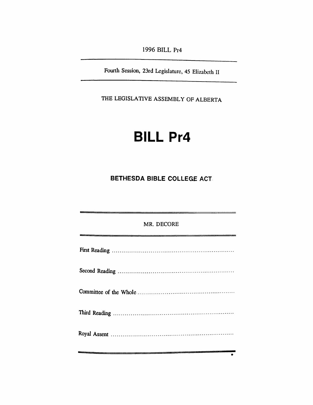*1996 BILL Pr4*

*Fourth Session, 23rd Legislature, 45 Elizabeth II*

*THE LEGISLATIVE ASSEMBLY OF ALBERTA*

# *BILL Pr4*

## *BETHESDA BIBLE COLLEGE ACT*

| MR. DECORE |
|------------|
|            |
|            |
|            |
|            |
|            |

 $\overline{\cdot}$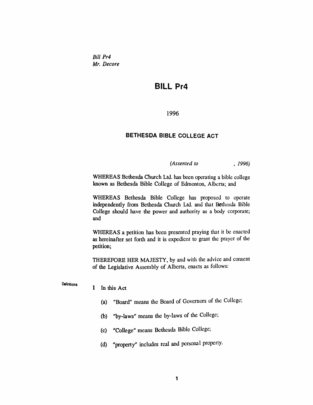*Bill Pr4 Mr. Decore*

## *BILL Pr4*

*1996*

#### *BETHESDA BIBLE COLLEGE ACT*

*(Assented to , 1996)*

*WHEREAS Bethesda Church Ltd. has been operating a bible college known as Bethesda Bible College of Edmonton, Alberta; and*

*WHEREAS Bethesda Bible College has proposed to operate independently from Bethesda Church Ltd. and that Bethesda Bible College should have the power and authority as a body corporate; and*

*WHEREAS a petition has been presented praying that it be enacted as hereinafter set forth and it is expedient to grant the prayer of the petition;*

*THEREFORE HER MAJESTY, by and with the advice and consent of the Legislative Assembly of Alberta, enacts as follows:*

*Definitions*

#### *<sup>1</sup> In this Act*

- *(a) "Board" means the Board of Governors of the College;*
- *(b) "by-laws" means the by-laws of the College;*
- *(c) "College" means Bethesda Bible College;*
- *(d) "property" includes real and personal property.*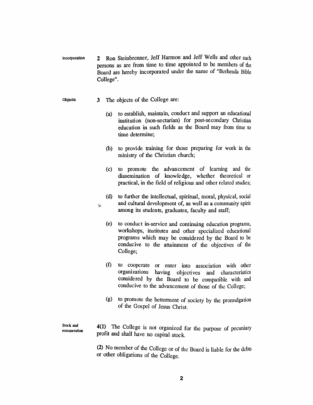*Incorporation 2 Ron Steinbrenner, Jeff Hannon and Jeff Wells and other such persons as are from time to time appointed to be members of the Board are hereby incorporated under the name of "Bethesda Bible College".*

#### *Objects 3 The objects of the College are:*

 $\infty$ 

- *(a) to establish, maintain, conduct and support an educational institution (non-sectarian) for post-secondary Christian education in such fields as the Board may from time to time determine;*
- *(b) to provide training for those preparing for work in the ministry of the Christian church;*
- *(c) to promote the advancement of learning and the dissemination of knowledge, whether theoretical or practical, in the field of religious and other related studies;*
- *(d) to further the intellectual, spiritual, moral, physical, social and cultural development of, as well as a community spirit among its students, graduates, faculty and staff;*
- *(e) to conduct in-service and continuing education programs, workshops, institutes and other specialized educational programs which may be considered by the Board to be conducive to the attainment of the objectives of the College;*
- *(f) to cooperate or enter into association with other organizations having objectives and characteristics considered by the Board to be compatible with and conducive to the advancement of those of the College;*
- *(g) to promote the betterment of society by the promulgation of the Gospel of Jesus Christ.*

*Stock and remuneration* *4(1) The College is not organized for the purpose of pecuniary profit and shall have no capital stock.*

*(2) No member of the College or of the Board is liable for the debts or other obligations of the College.*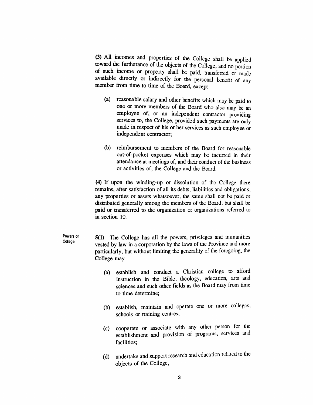*(3) All incomes and properties of the College shall be applied toward the furtherance of the objects of the College, and no portion of such income or property shall be paid, transferred or made available directly or indirectly for the personal benefit of any member from time to time of the Board, except*

- *(a) reasonable salary and other benefits which may be paid to one or more members of the Board who also may be an employee of, or an independent contractor providing services to, the College, provided such payments are only made in respect of his or her services as such employee or independent contractor;*
- *(b) reimbursement to members of the Board for reasonable out-of-pocket expenses which may be incurred in their attendance at meetings of, and their conduct of the business or activities of, the College and the Board.*

*(4) If upon the winding-up or dissolution of the College there remains, after satisfaction of all its debts, liabilities and obligations, any properties or assets whatsoever, the same shall not be paid or distributed generally among the members of the Board, but shall be paid or transferred to the organization or organizations referred to in section 10.*

*Powers of College 5(1) The College has all the powers, privileges and immunities vested by law in a corporation by the laws of the Province and more particularly, but without limiting the generality of the foregoing, the College may*

- *(a) establish and conduct a Christian college to afford instruction in the Bible, theology, education, arts and sciences and such other fields as the Board may from time to time determine;*
- *(b) establish, maintain and operate one or more colleges, schools or training centres;*
- *(c) cooperate or associate with any other person for the establishment and provision of programs, services and facilities;*
- *(d) undertake and support research and education related to the objects of the College,*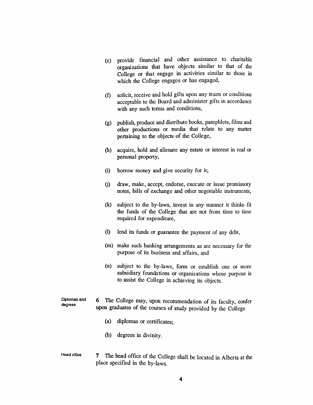- *(e) provide financial and other assistance to charitable organizations that have objects similar to that of the College or that engage in activities similar to those in which the College engages or has engaged,*
- *(f) solicit, receive and hold gifts upon any trusts or conditions acceptable to the Board and administer gifts in accordance with any such terms and conditions,*
- *(g) publish, produce and distribute books, pamphlets, films and other productions or media that relate to any matter pertaining to the objects of the College,*
- *(h) acquire, hold and alienate any estate or interest in real or personal property,*
- *(i) borrow money and give security for it;*
- *(j) draw, make, accept, endorse, execute or issue promissory notes, bills of exchange and other negotiable instruments,*
- *(k) subject to the by-laws, invest in any manner it thinks fit the funds of the College that are not from time to time required for expenditure,*
- *(l) lend its funds or guarantee the payment of any debt,*
- *(m) make such banking arrangements as are necessary for the purpose of its business and affairs, and*
- *(n) subject to the by-laws, form or establish one or more subsidiary foundations or organizations whose purpose is to assist the College in achieving its objects.*
- *Diplomas and degrees 6 The College may, upon recommendation of its faculty, confer upon graduates of the courses of study provided by the College*
	- *(a) diplomas or certificates;*
	- *(b) degrees in divinity.*
- *Head office 7 The head office of the College shall be located in Alberta at the place specified in the by-laws.*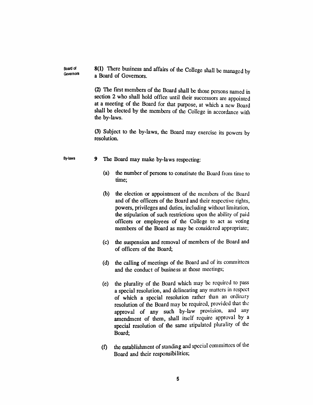*Board of Governors 8(1) There business and affairs of the College shall be managed by a Board of Governors.*

> *(2) The first members of the Board shall be those persons named in section 2 who shall hold office until their successors are appointed at a meeting of the Board for that purpose, at which a new Board shall be elected by the members of the College in accordance with the by-laws.*

> *(3) Subject to the by-laws, the Board may exercise its powers by resolution.*

### *By-laws 9 The Board may make by-laws respecting:*

- *(a) the number of persons to constitute the Board from time to time;*
- *(b) the election or appointment of the members of the Board and of the officers of the Board and their respective rights, powers, privileges and duties, including without limitation, the stipulation of such restrictions upon the ability of paid officers or employees of the College to act as voting members of the Board as may be considered appropriate;*
- *(c) the suspension and removal of members of the Board and of officers of the Board;*
- *(d) the calling of meetings of the Board and of its committees and the conduct of business at those meetings;*
- *(e) the plurality of the Board which may be required to pass a special resolution, and delineating any matters in respect of which a special resolution rather than an ordinary resolution of the Board may be required, provided that the approval of any such by-law provision, and any amendment of them, shall itself require approval by a special resolution of the same stipulated plurality of the Board;*
- *(f) the establishment ofstanding and special committees of the Board and their responsibilities;*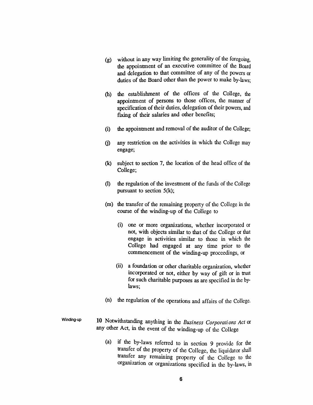- *(g) without in any way limiting the generality of the foregoing, the appointment of an executive committee of the Board and delegation to that committee of any of the powers or duties of the Board other than the power to make by-laws;*
- *(h) the establishment of the offices of the College, the appointment of persons to those offices, the manner of specification of their duties, delegation of their powers, and fixing of their salaries and other benefits;*
- *(i) the appointment and removal of the auditor of the College;*
- *(j) any restriction on the activities in which the College may engage;*
- *(k) subject to section 7, the location of the head office of the College;*
- *(l) the regulation of the investment of the funds of the College pursuant to section 5(k);*
- *(m) the transfer of the remaining property of the College in the course of the winding-up of the College to*
	- *(i) one or more organizations, whether incorporated or not, with objects similar to that of the College or that engage in activities similar to those in which the College had engaged at any time prior to the commencement of the winding-up proceedings, or*
	- *(ii) a foundation or other charitable organization, whether incorporated or not, either by way of gift or in trust for such charitable purposes as are specified in the bylaws;*
- *(n) the regulation of the operations and affairs of the College.*
- *Winding-up 10 Notwithstanding anything in the Business Corporations Act or any other Act, in the event of the winding-up of the College*
	- *(a) if the by-laws referred to in section 9 provide for the transfer of the property of the College, the liquidator shall transfer any remaining property of the College to the organization or organizations specified in the by-laws, in*